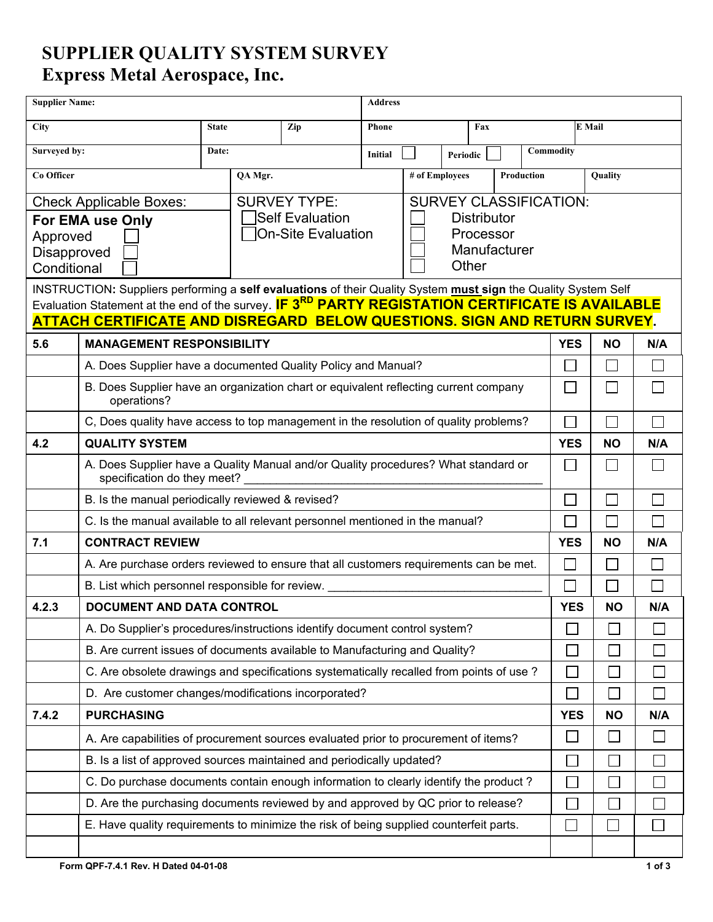## **SUPPLIER QUALITY SYSTEM SURVEY Express Metal Aerospace, Inc.**

| <b>Supplier Name:</b>                                                             |                                                                                                                                                                                                        |              |                                                      | <b>Address</b> |                |                |            |                             |              |              |            |           |     |
|-----------------------------------------------------------------------------------|--------------------------------------------------------------------------------------------------------------------------------------------------------------------------------------------------------|--------------|------------------------------------------------------|----------------|----------------|----------------|------------|-----------------------------|--------------|--------------|------------|-----------|-----|
| City                                                                              |                                                                                                                                                                                                        | <b>State</b> |                                                      | Zip            | <b>Phone</b>   |                |            | Fax                         |              |              |            | E Mail    |     |
| Surveyed by:                                                                      |                                                                                                                                                                                                        | Date:        |                                                      |                | <b>Initial</b> | Periodic       |            |                             | Commodity    |              |            |           |     |
| Co Officer                                                                        |                                                                                                                                                                                                        |              | QA Mgr.                                              |                |                | # of Employees |            |                             |              | Production   |            | Quality   |     |
| <b>Check Applicable Boxes:</b>                                                    |                                                                                                                                                                                                        |              | <b>SURVEY CLASSIFICATION:</b><br><b>SURVEY TYPE:</b> |                |                |                |            |                             |              |              |            |           |     |
| For EMA use Only                                                                  |                                                                                                                                                                                                        |              | Self Evaluation<br><b>Distributor</b>                |                |                |                |            |                             |              |              |            |           |     |
| <b>On-Site Evaluation</b><br>Processor<br>Approved<br>Manufacturer<br>Disapproved |                                                                                                                                                                                                        |              |                                                      |                |                |                |            |                             |              |              |            |           |     |
| Other<br>Conditional                                                              |                                                                                                                                                                                                        |              |                                                      |                |                |                |            |                             |              |              |            |           |     |
|                                                                                   | INSTRUCTION: Suppliers performing a self evaluations of their Quality System must sign the Quality System Self                                                                                         |              |                                                      |                |                |                |            |                             |              |              |            |           |     |
|                                                                                   | Evaluation Statement at the end of the survey. <b>IF 3<sup>RD</sup> PARTY REGISTATION CERTIFICATE IS AVAILABLE</b><br><b>ATTACH CERTIFICATE AND DISREGARD BELOW QUESTIONS. SIGN AND RETURN SURVEY.</b> |              |                                                      |                |                |                |            |                             |              |              |            |           |     |
| 5.6                                                                               | <b>MANAGEMENT RESPONSIBILITY</b>                                                                                                                                                                       |              |                                                      |                |                |                |            |                             |              |              | <b>YES</b> | <b>NO</b> | N/A |
|                                                                                   | A. Does Supplier have a documented Quality Policy and Manual?                                                                                                                                          |              |                                                      |                |                |                |            |                             |              |              |            |           |     |
|                                                                                   | B. Does Supplier have an organization chart or equivalent reflecting current company                                                                                                                   |              |                                                      |                |                |                |            |                             | $\Box$       |              |            |           |     |
|                                                                                   | operations?                                                                                                                                                                                            |              |                                                      |                |                |                |            |                             |              |              |            |           |     |
|                                                                                   | C, Does quality have access to top management in the resolution of quality problems?                                                                                                                   |              |                                                      |                |                |                |            | $\mathcal{L}$               |              |              |            |           |     |
| 4.2                                                                               | <b>QUALITY SYSTEM</b>                                                                                                                                                                                  |              |                                                      |                |                |                | <b>YES</b> | <b>NO</b>                   | N/A          |              |            |           |     |
|                                                                                   | A. Does Supplier have a Quality Manual and/or Quality procedures? What standard or<br>specification do they meet?                                                                                      |              |                                                      |                |                |                |            | $\mathbf{I}$                |              |              |            |           |     |
|                                                                                   | B. Is the manual periodically reviewed & revised?                                                                                                                                                      |              |                                                      |                |                |                |            |                             |              |              |            |           |     |
|                                                                                   | C. Is the manual available to all relevant personnel mentioned in the manual?                                                                                                                          |              |                                                      |                |                |                |            | $\mathcal{L}_{\mathcal{A}}$ |              |              |            |           |     |
| 7.1                                                                               | <b>CONTRACT REVIEW</b>                                                                                                                                                                                 |              |                                                      |                |                |                |            | <b>YES</b>                  | <b>NO</b>    | N/A          |            |           |     |
|                                                                                   | A. Are purchase orders reviewed to ensure that all customers requirements can be met.                                                                                                                  |              |                                                      |                |                |                |            |                             |              |              |            |           |     |
|                                                                                   | B. List which personnel responsible for review.                                                                                                                                                        |              |                                                      |                |                |                |            |                             |              |              |            |           |     |
| 4.2.3                                                                             | <b>DOCUMENT AND DATA CONTROL</b>                                                                                                                                                                       |              |                                                      |                |                |                |            | <b>YES</b>                  | <b>NO</b>    | N/A          |            |           |     |
|                                                                                   | A. Do Supplier's procedures/instructions identify document control system?                                                                                                                             |              |                                                      |                |                |                |            |                             |              |              |            |           |     |
|                                                                                   | B. Are current issues of documents available to Manufacturing and Quality?                                                                                                                             |              |                                                      |                |                |                |            |                             |              | $\mathbf{I}$ |            |           |     |
|                                                                                   | C. Are obsolete drawings and specifications systematically recalled from points of use ?<br>D. Are customer changes/modifications incorporated?                                                        |              |                                                      |                |                |                |            |                             |              |              |            |           |     |
|                                                                                   |                                                                                                                                                                                                        |              |                                                      |                |                |                |            | $\overline{\phantom{0}}$    |              | $\Box$       |            |           |     |
| 7.4.2                                                                             | <b>PURCHASING</b>                                                                                                                                                                                      |              |                                                      |                |                |                | <b>YES</b> | <b>NO</b>                   | N/A          |              |            |           |     |
|                                                                                   | A. Are capabilities of procurement sources evaluated prior to procurement of items?                                                                                                                    |              |                                                      |                |                |                |            |                             |              |              |            |           |     |
|                                                                                   | B. Is a list of approved sources maintained and periodically updated?                                                                                                                                  |              |                                                      |                |                |                |            |                             |              |              |            |           |     |
|                                                                                   | C. Do purchase documents contain enough information to clearly identify the product?                                                                                                                   |              |                                                      |                |                |                |            |                             |              |              |            |           |     |
|                                                                                   | D. Are the purchasing documents reviewed by and approved by QC prior to release?                                                                                                                       |              |                                                      |                |                |                |            |                             |              |              |            |           |     |
|                                                                                   | E. Have quality requirements to minimize the risk of being supplied counterfeit parts.                                                                                                                 |              |                                                      |                |                |                |            |                             | $\mathbf{I}$ |              |            |           |     |
|                                                                                   |                                                                                                                                                                                                        |              |                                                      |                |                |                |            |                             |              |              |            |           |     |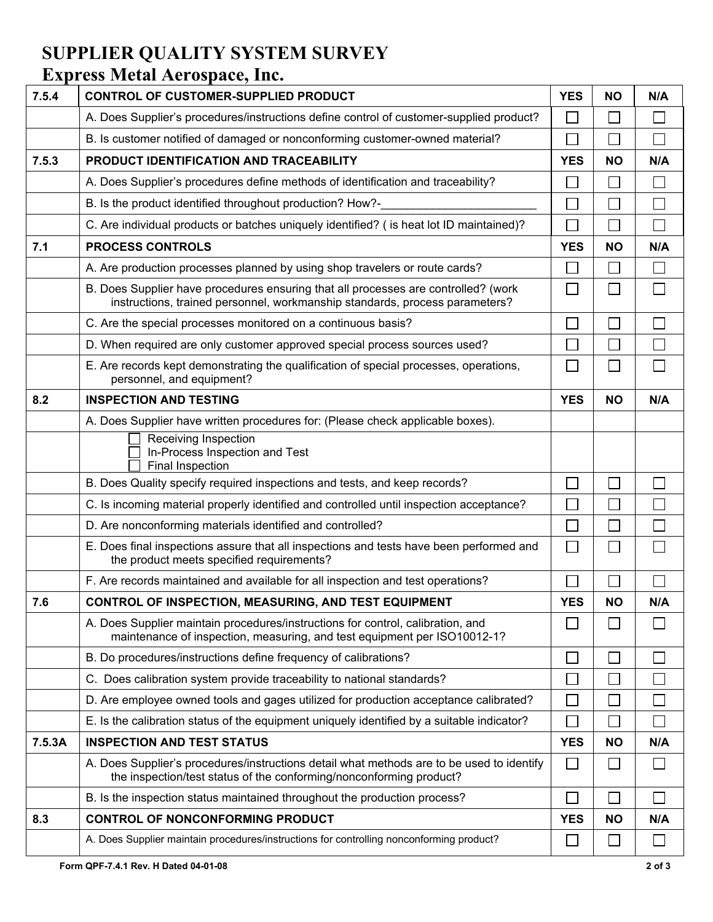## **SUPPLIER QUALITY SYSTEM SURVEY Express Metal Aerospace, Inc.**

| 7.5.4  | CONTROL OF CUSTOMER-SUPPLIED PRODUCT                                                                                                                              | <b>YES</b> | <b>NO</b>                | N/A          |
|--------|-------------------------------------------------------------------------------------------------------------------------------------------------------------------|------------|--------------------------|--------------|
|        | A. Does Supplier's procedures/instructions define control of customer-supplied product?                                                                           |            |                          |              |
|        | B. Is customer notified of damaged or nonconforming customer-owned material?                                                                                      | J.         |                          | $\Box$       |
| 7.5.3  | PRODUCT IDENTIFICATION AND TRACEABILITY                                                                                                                           | <b>YES</b> | <b>NO</b>                | N/A          |
|        | A. Does Supplier's procedures define methods of identification and traceability?                                                                                  |            |                          | Г            |
|        | B. Is the product identified throughout production? How?-                                                                                                         |            |                          | Г            |
|        | C. Are individual products or batches uniquely identified? ( is heat lot ID maintained)?                                                                          |            | k.                       | Г            |
| 7.1    | <b>PROCESS CONTROLS</b>                                                                                                                                           | <b>YES</b> | <b>NO</b>                | N/A          |
|        | A. Are production processes planned by using shop travelers or route cards?                                                                                       |            | $\mathbf{L}$             |              |
|        | B. Does Supplier have procedures ensuring that all processes are controlled? (work<br>instructions, trained personnel, workmanship standards, process parameters? | $\sim$     | $\overline{\phantom{a}}$ |              |
|        | C. Are the special processes monitored on a continuous basis?                                                                                                     |            |                          |              |
|        | D. When required are only customer approved special process sources used?                                                                                         |            |                          |              |
|        | E. Are records kept demonstrating the qualification of special processes, operations,<br>personnel, and equipment?                                                | $\sim$     |                          |              |
| 8.2    | <b>INSPECTION AND TESTING</b>                                                                                                                                     |            | <b>NO</b>                | N/A          |
|        | A. Does Supplier have written procedures for: (Please check applicable boxes).                                                                                    |            |                          |              |
|        | Receiving Inspection<br>In-Process Inspection and Test<br>Final Inspection                                                                                        |            |                          |              |
|        | B. Does Quality specify required inspections and tests, and keep records?                                                                                         |            |                          |              |
|        | C. Is incoming material properly identified and controlled until inspection acceptance?                                                                           |            |                          |              |
|        | D. Are nonconforming materials identified and controlled?                                                                                                         |            |                          |              |
|        | E. Does final inspections assure that all inspections and tests have been performed and<br>the product meets specified requirements?                              | $\Box$     |                          |              |
|        | F. Are records maintained and available for all inspection and test operations?                                                                                   |            |                          |              |
| 7.6    | CONTROL OF INSPECTION, MEASURING, AND TEST EQUIPMENT                                                                                                              | <b>YES</b> | <b>NO</b>                | N/A          |
|        | A. Does Supplier maintain procedures/instructions for control, calibration, and<br>maintenance of inspection, measuring, and test equipment per ISO10012-1?       |            |                          |              |
|        | B. Do procedures/instructions define frequency of calibrations?                                                                                                   |            |                          |              |
|        | C. Does calibration system provide traceability to national standards?                                                                                            |            |                          |              |
|        | D. Are employee owned tools and gages utilized for production acceptance calibrated?                                                                              |            |                          |              |
|        | E. Is the calibration status of the equipment uniquely identified by a suitable indicator?                                                                        |            |                          |              |
| 7.5.3A | <b>INSPECTION AND TEST STATUS</b>                                                                                                                                 | <b>YES</b> | <b>NO</b>                | N/A          |
|        | A. Does Supplier's procedures/instructions detail what methods are to be used to identify<br>the inspection/test status of the conforming/nonconforming product?  |            |                          |              |
|        | B. Is the inspection status maintained throughout the production process?                                                                                         |            | b.                       |              |
| 8.3    | <b>CONTROL OF NONCONFORMING PRODUCT</b>                                                                                                                           | <b>YES</b> | <b>NO</b>                | N/A          |
|        | A. Does Supplier maintain procedures/instructions for controlling nonconforming product?                                                                          |            | └                        | $\mathbf{L}$ |